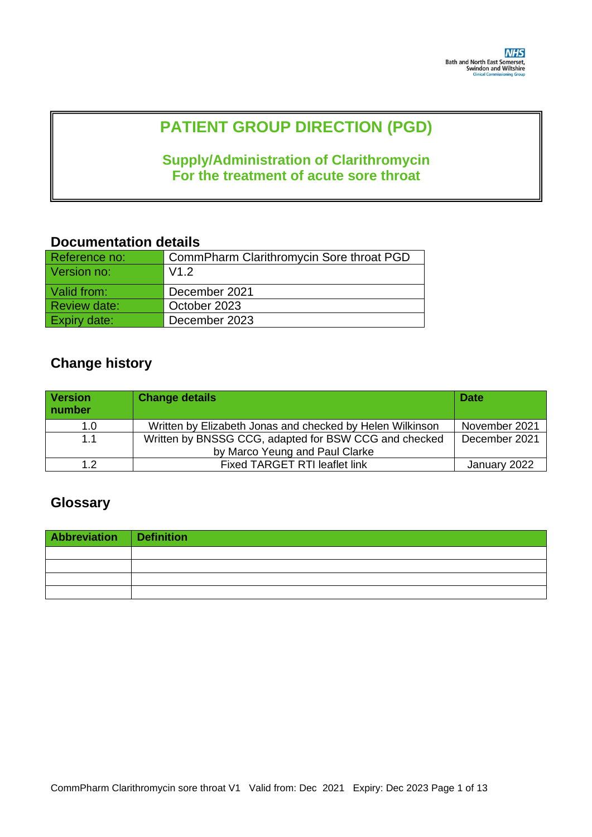# **PATIENT GROUP DIRECTION (PGD)**

## **Supply/Administration of Clarithromycin For the treatment of acute sore throat**

## **Documentation details**

| Reference no:       | CommPharm Clarithromycin Sore throat PGD |
|---------------------|------------------------------------------|
| Version no:         | V1.2                                     |
| Valid from:         | December 2021                            |
| <b>Review date:</b> | October 2023                             |
| Expiry date:        | December 2023                            |

## **Change history**

| <b>Version</b><br>number | <b>Change details</b>                                     | <b>Date</b>   |
|--------------------------|-----------------------------------------------------------|---------------|
| 1.0                      | Written by Elizabeth Jonas and checked by Helen Wilkinson | November 2021 |
| 1.1                      | Written by BNSSG CCG, adapted for BSW CCG and checked     | December 2021 |
|                          | by Marco Yeung and Paul Clarke                            |               |
| 1.2                      | <b>Fixed TARGET RTI leaflet link</b>                      | January 2022  |

# **Glossary**

| Abbreviation Definition |  |
|-------------------------|--|
|                         |  |
|                         |  |
|                         |  |
|                         |  |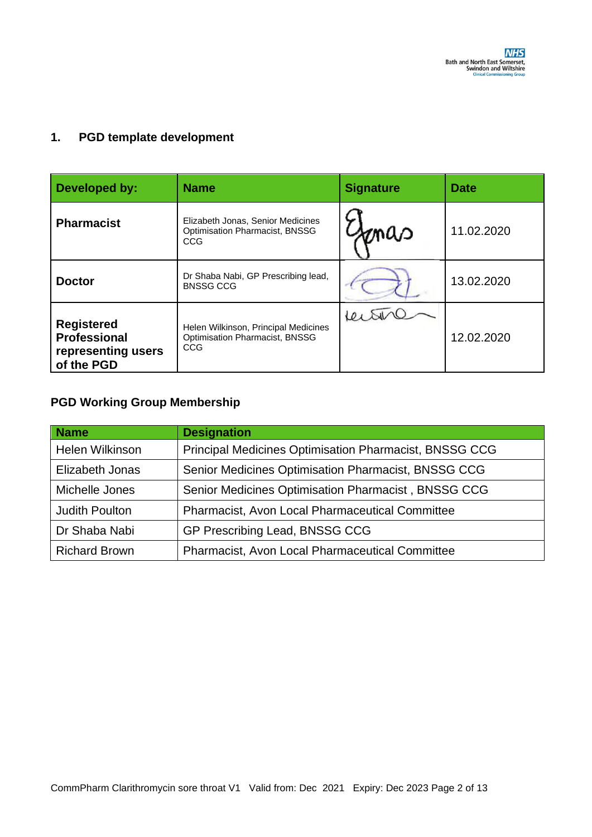#### **1. PGD template development**

| Developed by:                                                                | <b>Name</b>                                                                              | <b>Signature</b> | <b>Date</b> |
|------------------------------------------------------------------------------|------------------------------------------------------------------------------------------|------------------|-------------|
| <b>Pharmacist</b>                                                            | Elizabeth Jonas, Senior Medicines<br><b>Optimisation Pharmacist, BNSSG</b><br><b>CCG</b> | maa              | 11.02.2020  |
| <b>Doctor</b>                                                                | Dr Shaba Nabi, GP Prescribing lead,<br><b>BNSSG CCG</b>                                  |                  | 13.02.2020  |
| <b>Registered</b><br><b>Professional</b><br>representing users<br>of the PGD | Helen Wilkinson, Principal Medicines<br>Optimisation Pharmacist, BNSSG<br>CCG            |                  | 12.02.2020  |

### **PGD Working Group Membership**

| <b>Name</b>            | <b>Designation</b>                                     |
|------------------------|--------------------------------------------------------|
| <b>Helen Wilkinson</b> | Principal Medicines Optimisation Pharmacist, BNSSG CCG |
| Elizabeth Jonas        | Senior Medicines Optimisation Pharmacist, BNSSG CCG    |
| Michelle Jones         | Senior Medicines Optimisation Pharmacist, BNSSG CCG    |
| <b>Judith Poulton</b>  | <b>Pharmacist, Avon Local Pharmaceutical Committee</b> |
| Dr Shaba Nabi          | GP Prescribing Lead, BNSSG CCG                         |
| <b>Richard Brown</b>   | Pharmacist, Avon Local Pharmaceutical Committee        |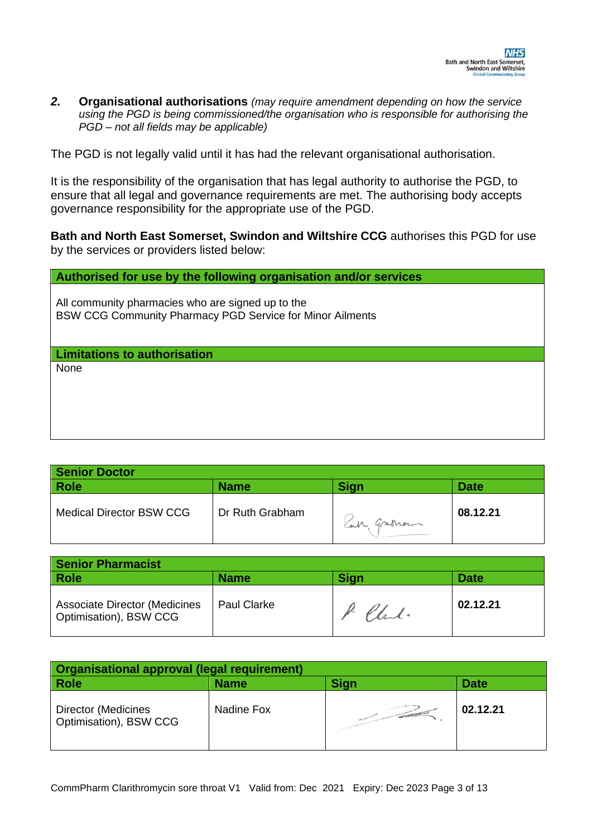*2.* **Organisational authorisations** *(may require amendment depending on how the service using the PGD is being commissioned/the organisation who is responsible for authorising the PGD – not all fields may be applicable)* 

The PGD is not legally valid until it has had the relevant organisational authorisation.

It is the responsibility of the organisation that has legal authority to authorise the PGD, to ensure that all legal and governance requirements are met. The authorising body accepts governance responsibility for the appropriate use of the PGD.

**Bath and North East Somerset, Swindon and Wiltshire CCG** authorises this PGD for use by the services or providers listed below:

**Authorised for use by the following organisation and/or services**

All community pharmacies who are signed up to the BSW CCG Community Pharmacy PGD Service for Minor Ailments

**Limitations to authorisation**

None

| <b>Senior Doctor</b>            |                 |             |             |
|---------------------------------|-----------------|-------------|-------------|
| <b>Role</b>                     | <b>Name</b>     | <b>Sign</b> | <b>Date</b> |
| <b>Medical Director BSW CCG</b> | Dr Ruth Grabham | Can graman  | 08.12.21    |

| <b>Senior Pharmacist</b>                                       |                    |             |             |
|----------------------------------------------------------------|--------------------|-------------|-------------|
| <b>Role</b>                                                    | <b>Name</b>        | <b>Sign</b> | <b>Date</b> |
| <b>Associate Director (Medicines</b><br>Optimisation), BSW CCG | <b>Paul Clarke</b> | P. Chal.    | 02.12.21    |

| <b>Organisational approval (legal requirement)</b> |             |                   |             |
|----------------------------------------------------|-------------|-------------------|-------------|
| <b>Role</b>                                        | <b>Name</b> | <b>Sign</b>       | <b>Date</b> |
| Director (Medicines<br>Optimisation), BSW CCG      | Nadine Fox  | <b>CONTRACTOR</b> | 02.12.21    |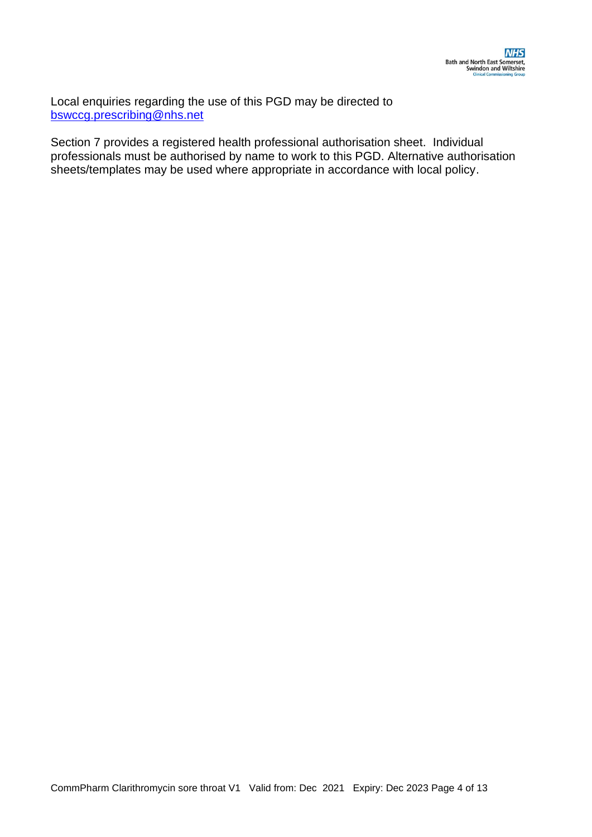Local enquiries regarding the use of this PGD may be directed to [bswccg.prescribing@nhs.net](mailto:bswccg.prescribing@nhs.net)

Section 7 provides a registered health professional authorisation sheet. Individual professionals must be authorised by name to work to this PGD. Alternative authorisation sheets/templates may be used where appropriate in accordance with local policy.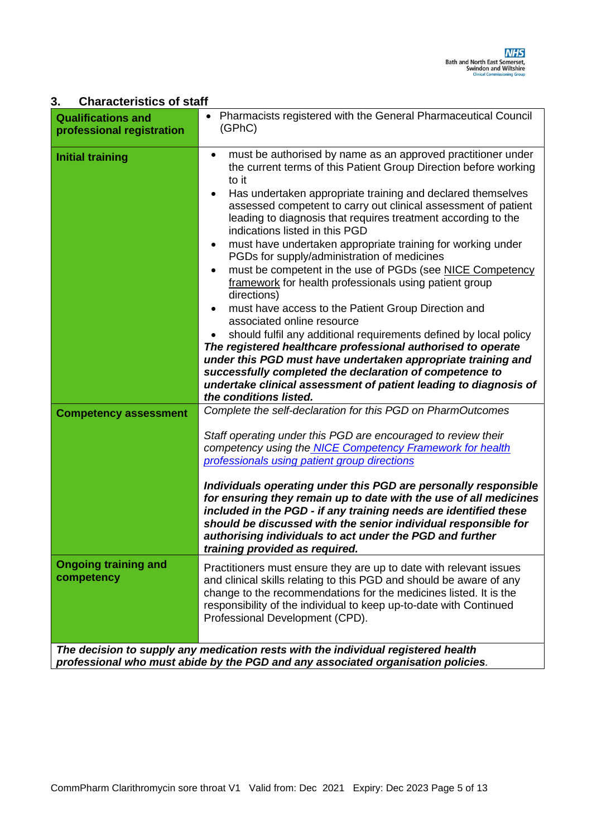#### **3. Characteristics of staff**

| <b>Qualifications and</b><br>professional registration | Pharmacists registered with the General Pharmaceutical Council<br>(GPhC)                                                                                                                                                                                                                                                                                                                                                                                                                                                                                                                                                                                                                                                                                                                                                                                                                                                                                                                                                                                                             |
|--------------------------------------------------------|--------------------------------------------------------------------------------------------------------------------------------------------------------------------------------------------------------------------------------------------------------------------------------------------------------------------------------------------------------------------------------------------------------------------------------------------------------------------------------------------------------------------------------------------------------------------------------------------------------------------------------------------------------------------------------------------------------------------------------------------------------------------------------------------------------------------------------------------------------------------------------------------------------------------------------------------------------------------------------------------------------------------------------------------------------------------------------------|
| <b>Initial training</b>                                | must be authorised by name as an approved practitioner under<br>the current terms of this Patient Group Direction before working<br>to it<br>Has undertaken appropriate training and declared themselves<br>assessed competent to carry out clinical assessment of patient<br>leading to diagnosis that requires treatment according to the<br>indications listed in this PGD<br>must have undertaken appropriate training for working under<br>PGDs for supply/administration of medicines<br>must be competent in the use of PGDs (see NICE Competency<br>framework for health professionals using patient group<br>directions)<br>must have access to the Patient Group Direction and<br>associated online resource<br>should fulfil any additional requirements defined by local policy<br>The registered healthcare professional authorised to operate<br>under this PGD must have undertaken appropriate training and<br>successfully completed the declaration of competence to<br>undertake clinical assessment of patient leading to diagnosis of<br>the conditions listed. |
| <b>Competency assessment</b>                           | Complete the self-declaration for this PGD on PharmOutcomes<br>Staff operating under this PGD are encouraged to review their<br>competency using the NICE Competency Framework for health<br>professionals using patient group directions<br>Individuals operating under this PGD are personally responsible<br>for ensuring they remain up to date with the use of all medicines<br>included in the PGD - if any training needs are identified these<br>should be discussed with the senior individual responsible for<br>authorising individuals to act under the PGD and further<br>training provided as required.                                                                                                                                                                                                                                                                                                                                                                                                                                                                |
| <b>Ongoing training and</b><br>competency              | Practitioners must ensure they are up to date with relevant issues<br>and clinical skills relating to this PGD and should be aware of any<br>change to the recommendations for the medicines listed. It is the<br>responsibility of the individual to keep up-to-date with Continued<br>Professional Development (CPD).                                                                                                                                                                                                                                                                                                                                                                                                                                                                                                                                                                                                                                                                                                                                                              |
|                                                        | The decision to supply any medication rests with the individual registered health<br>professional who must abide by the PGD and any associated organisation policies.                                                                                                                                                                                                                                                                                                                                                                                                                                                                                                                                                                                                                                                                                                                                                                                                                                                                                                                |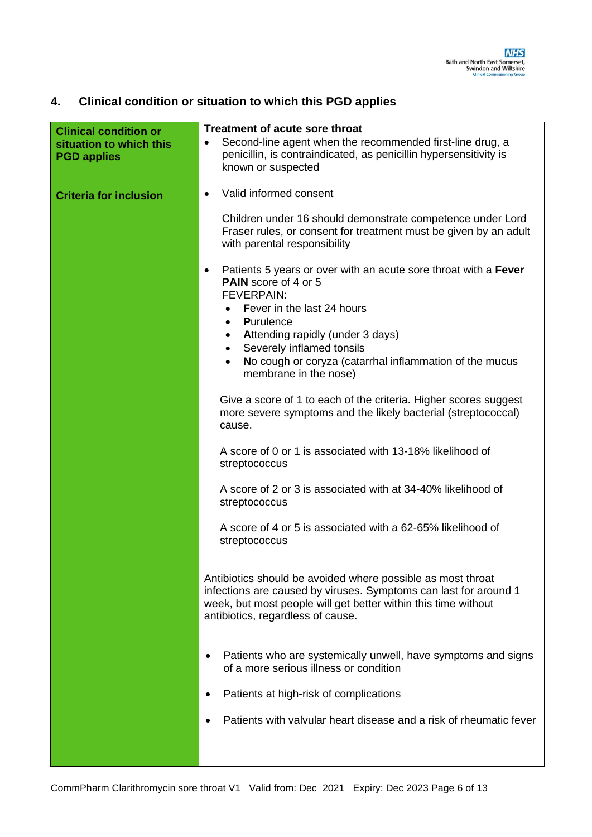### **4. Clinical condition or situation to which this PGD applies**

| <b>Clinical condition or</b><br>situation to which this<br><b>PGD applies</b> | Treatment of acute sore throat<br>Second-line agent when the recommended first-line drug, a<br>$\bullet$<br>penicillin, is contraindicated, as penicillin hypersensitivity is<br>known or suspected                                                                                                                                                                                                                                                                                                                                                                                    |
|-------------------------------------------------------------------------------|----------------------------------------------------------------------------------------------------------------------------------------------------------------------------------------------------------------------------------------------------------------------------------------------------------------------------------------------------------------------------------------------------------------------------------------------------------------------------------------------------------------------------------------------------------------------------------------|
| <b>Criteria for inclusion</b>                                                 | Valid informed consent<br>$\bullet$<br>Children under 16 should demonstrate competence under Lord<br>Fraser rules, or consent for treatment must be given by an adult<br>with parental responsibility<br>Patients 5 years or over with an acute sore throat with a Fever<br>$\bullet$<br><b>PAIN</b> score of 4 or 5<br><b>FEVERPAIN:</b><br>Fever in the last 24 hours<br><b>Purulence</b><br>$\bullet$<br><b>Attending rapidly (under 3 days)</b><br>٠<br>Severely inflamed tonsils<br>No cough or coryza (catarrhal inflammation of the mucus<br>$\bullet$<br>membrane in the nose) |
|                                                                               | Give a score of 1 to each of the criteria. Higher scores suggest<br>more severe symptoms and the likely bacterial (streptococcal)<br>cause.<br>A score of 0 or 1 is associated with 13-18% likelihood of<br>streptococcus<br>A score of 2 or 3 is associated with at 34-40% likelihood of<br>streptococcus<br>A score of 4 or 5 is associated with a 62-65% likelihood of<br>streptococcus                                                                                                                                                                                             |
|                                                                               | Antibiotics should be avoided where possible as most throat<br>infections are caused by viruses. Symptoms can last for around 1<br>week, but most people will get better within this time without<br>antibiotics, regardless of cause.                                                                                                                                                                                                                                                                                                                                                 |
|                                                                               | Patients who are systemically unwell, have symptoms and signs<br>of a more serious illness or condition<br>Patients at high-risk of complications<br>Patients with valvular heart disease and a risk of rheumatic fever                                                                                                                                                                                                                                                                                                                                                                |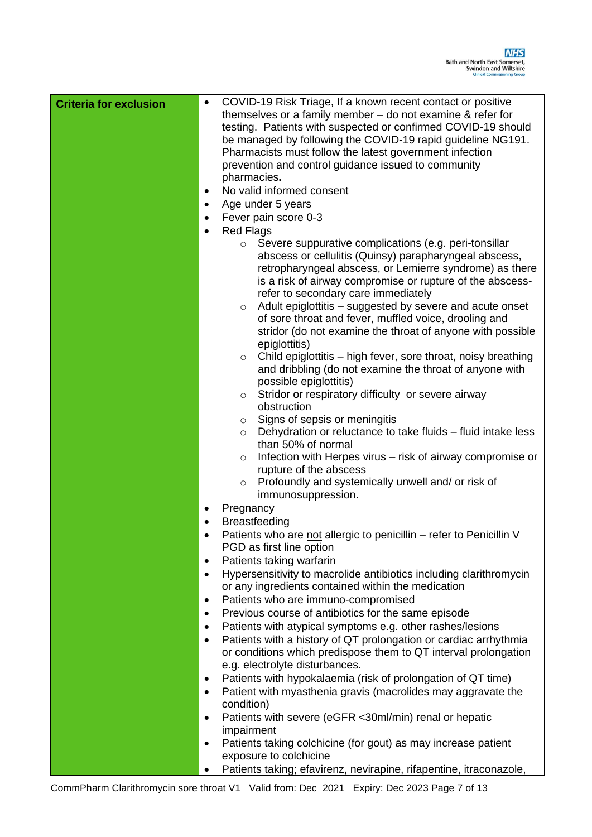| <b>Criteria for exclusion</b> | COVID-19 Risk Triage, If a known recent contact or positive<br>$\bullet$<br>themselves or a family member $-$ do not examine & refer for<br>testing. Patients with suspected or confirmed COVID-19 should<br>be managed by following the COVID-19 rapid guideline NG191.<br>Pharmacists must follow the latest government infection<br>prevention and control guidance issued to community<br>pharmacies.<br>No valid informed consent<br>$\bullet$<br>Age under 5 years<br>$\bullet$<br>Fever pain score 0-3<br>$\bullet$<br><b>Red Flags</b><br>Severe suppurative complications (e.g. peri-tonsillar<br>$\circ$<br>abscess or cellulitis (Quinsy) parapharyngeal abscess,<br>retropharyngeal abscess, or Lemierre syndrome) as there<br>is a risk of airway compromise or rupture of the abscess-<br>refer to secondary care immediately<br>Adult epiglottitis – suggested by severe and acute onset<br>$\circ$<br>of sore throat and fever, muffled voice, drooling and<br>stridor (do not examine the throat of anyone with possible<br>epiglottitis)<br>Child epiglottitis – high fever, sore throat, noisy breathing<br>$\circ$<br>and dribbling (do not examine the throat of anyone with<br>possible epiglottitis)<br>Stridor or respiratory difficulty or severe airway<br>$\circ$<br>obstruction<br>Signs of sepsis or meningitis<br>$\circ$<br>Dehydration or reluctance to take fluids - fluid intake less<br>$\circ$<br>than 50% of normal<br>Infection with Herpes virus – risk of airway compromise or<br>$\circ$<br>rupture of the abscess |
|-------------------------------|-------------------------------------------------------------------------------------------------------------------------------------------------------------------------------------------------------------------------------------------------------------------------------------------------------------------------------------------------------------------------------------------------------------------------------------------------------------------------------------------------------------------------------------------------------------------------------------------------------------------------------------------------------------------------------------------------------------------------------------------------------------------------------------------------------------------------------------------------------------------------------------------------------------------------------------------------------------------------------------------------------------------------------------------------------------------------------------------------------------------------------------------------------------------------------------------------------------------------------------------------------------------------------------------------------------------------------------------------------------------------------------------------------------------------------------------------------------------------------------------------------------------------------------------------------------|
|                               | Profoundly and systemically unwell and/ or risk of<br>$\circ$                                                                                                                                                                                                                                                                                                                                                                                                                                                                                                                                                                                                                                                                                                                                                                                                                                                                                                                                                                                                                                                                                                                                                                                                                                                                                                                                                                                                                                                                                               |
|                               | immunosuppression.<br>Pregnancy<br>٠                                                                                                                                                                                                                                                                                                                                                                                                                                                                                                                                                                                                                                                                                                                                                                                                                                                                                                                                                                                                                                                                                                                                                                                                                                                                                                                                                                                                                                                                                                                        |
|                               | <b>Breastfeeding</b>                                                                                                                                                                                                                                                                                                                                                                                                                                                                                                                                                                                                                                                                                                                                                                                                                                                                                                                                                                                                                                                                                                                                                                                                                                                                                                                                                                                                                                                                                                                                        |
|                               | Patients who are not allergic to penicillin – refer to Penicillin V                                                                                                                                                                                                                                                                                                                                                                                                                                                                                                                                                                                                                                                                                                                                                                                                                                                                                                                                                                                                                                                                                                                                                                                                                                                                                                                                                                                                                                                                                         |
|                               | PGD as first line option                                                                                                                                                                                                                                                                                                                                                                                                                                                                                                                                                                                                                                                                                                                                                                                                                                                                                                                                                                                                                                                                                                                                                                                                                                                                                                                                                                                                                                                                                                                                    |
|                               | Patients taking warfarin<br>$\bullet$                                                                                                                                                                                                                                                                                                                                                                                                                                                                                                                                                                                                                                                                                                                                                                                                                                                                                                                                                                                                                                                                                                                                                                                                                                                                                                                                                                                                                                                                                                                       |
|                               | Hypersensitivity to macrolide antibiotics including clarithromycin<br>$\bullet$                                                                                                                                                                                                                                                                                                                                                                                                                                                                                                                                                                                                                                                                                                                                                                                                                                                                                                                                                                                                                                                                                                                                                                                                                                                                                                                                                                                                                                                                             |
|                               | or any ingredients contained within the medication                                                                                                                                                                                                                                                                                                                                                                                                                                                                                                                                                                                                                                                                                                                                                                                                                                                                                                                                                                                                                                                                                                                                                                                                                                                                                                                                                                                                                                                                                                          |
|                               | Patients who are immuno-compromised<br>٠<br>Previous course of antibiotics for the same episode<br>$\bullet$                                                                                                                                                                                                                                                                                                                                                                                                                                                                                                                                                                                                                                                                                                                                                                                                                                                                                                                                                                                                                                                                                                                                                                                                                                                                                                                                                                                                                                                |
|                               | Patients with atypical symptoms e.g. other rashes/lesions<br>$\bullet$                                                                                                                                                                                                                                                                                                                                                                                                                                                                                                                                                                                                                                                                                                                                                                                                                                                                                                                                                                                                                                                                                                                                                                                                                                                                                                                                                                                                                                                                                      |
|                               | Patients with a history of QT prolongation or cardiac arrhythmia<br>$\bullet$                                                                                                                                                                                                                                                                                                                                                                                                                                                                                                                                                                                                                                                                                                                                                                                                                                                                                                                                                                                                                                                                                                                                                                                                                                                                                                                                                                                                                                                                               |
|                               | or conditions which predispose them to QT interval prolongation<br>e.g. electrolyte disturbances.                                                                                                                                                                                                                                                                                                                                                                                                                                                                                                                                                                                                                                                                                                                                                                                                                                                                                                                                                                                                                                                                                                                                                                                                                                                                                                                                                                                                                                                           |
|                               | Patients with hypokalaemia (risk of prolongation of QT time)<br>$\bullet$                                                                                                                                                                                                                                                                                                                                                                                                                                                                                                                                                                                                                                                                                                                                                                                                                                                                                                                                                                                                                                                                                                                                                                                                                                                                                                                                                                                                                                                                                   |
|                               | Patient with myasthenia gravis (macrolides may aggravate the<br>$\bullet$                                                                                                                                                                                                                                                                                                                                                                                                                                                                                                                                                                                                                                                                                                                                                                                                                                                                                                                                                                                                                                                                                                                                                                                                                                                                                                                                                                                                                                                                                   |
|                               | condition)                                                                                                                                                                                                                                                                                                                                                                                                                                                                                                                                                                                                                                                                                                                                                                                                                                                                                                                                                                                                                                                                                                                                                                                                                                                                                                                                                                                                                                                                                                                                                  |
|                               | Patients with severe (eGFR <30ml/min) renal or hepatic<br>$\bullet$                                                                                                                                                                                                                                                                                                                                                                                                                                                                                                                                                                                                                                                                                                                                                                                                                                                                                                                                                                                                                                                                                                                                                                                                                                                                                                                                                                                                                                                                                         |
|                               | impairment                                                                                                                                                                                                                                                                                                                                                                                                                                                                                                                                                                                                                                                                                                                                                                                                                                                                                                                                                                                                                                                                                                                                                                                                                                                                                                                                                                                                                                                                                                                                                  |
|                               | Patients taking colchicine (for gout) as may increase patient<br>$\bullet$<br>exposure to colchicine                                                                                                                                                                                                                                                                                                                                                                                                                                                                                                                                                                                                                                                                                                                                                                                                                                                                                                                                                                                                                                                                                                                                                                                                                                                                                                                                                                                                                                                        |
|                               | Patients taking; efavirenz, nevirapine, rifapentine, itraconazole,                                                                                                                                                                                                                                                                                                                                                                                                                                                                                                                                                                                                                                                                                                                                                                                                                                                                                                                                                                                                                                                                                                                                                                                                                                                                                                                                                                                                                                                                                          |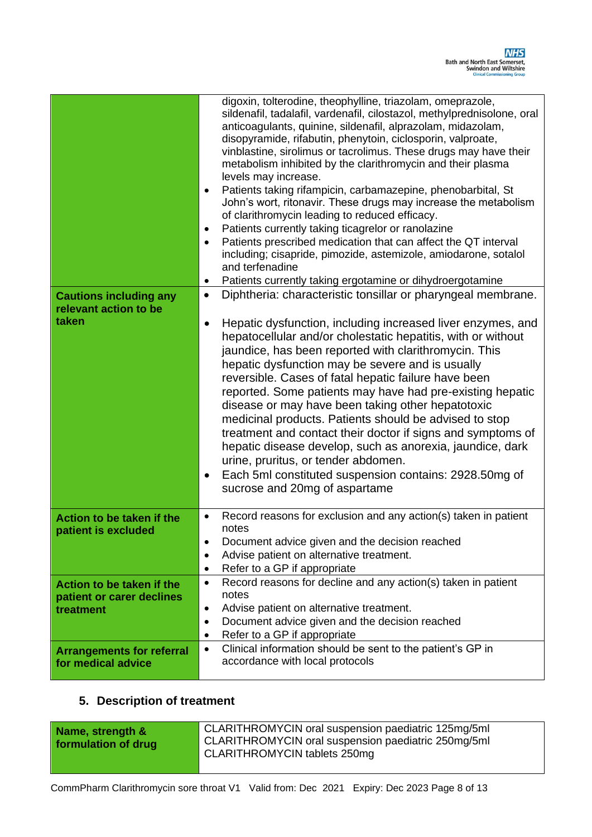|                                                                 | digoxin, tolterodine, theophylline, triazolam, omeprazole,<br>sildenafil, tadalafil, vardenafil, cilostazol, methylprednisolone, oral<br>anticoagulants, quinine, sildenafil, alprazolam, midazolam,<br>disopyramide, rifabutin, phenytoin, ciclosporin, valproate,<br>vinblastine, sirolimus or tacrolimus. These drugs may have their<br>metabolism inhibited by the clarithromycin and their plasma<br>levels may increase.<br>Patients taking rifampicin, carbamazepine, phenobarbital, St<br>$\bullet$<br>John's wort, ritonavir. These drugs may increase the metabolism<br>of clarithromycin leading to reduced efficacy.<br>Patients currently taking ticagrelor or ranolazine<br>٠                                                                                                                                          |
|-----------------------------------------------------------------|--------------------------------------------------------------------------------------------------------------------------------------------------------------------------------------------------------------------------------------------------------------------------------------------------------------------------------------------------------------------------------------------------------------------------------------------------------------------------------------------------------------------------------------------------------------------------------------------------------------------------------------------------------------------------------------------------------------------------------------------------------------------------------------------------------------------------------------|
|                                                                 | Patients prescribed medication that can affect the QT interval<br>$\bullet$<br>including; cisapride, pimozide, astemizole, amiodarone, sotalol<br>and terfenadine                                                                                                                                                                                                                                                                                                                                                                                                                                                                                                                                                                                                                                                                    |
|                                                                 | Patients currently taking ergotamine or dihydroergotamine<br>٠                                                                                                                                                                                                                                                                                                                                                                                                                                                                                                                                                                                                                                                                                                                                                                       |
| <b>Cautions including any</b><br>relevant action to be<br>taken | Diphtheria: characteristic tonsillar or pharyngeal membrane.<br>$\bullet$<br>Hepatic dysfunction, including increased liver enzymes, and<br>hepatocellular and/or cholestatic hepatitis, with or without<br>jaundice, has been reported with clarithromycin. This<br>hepatic dysfunction may be severe and is usually<br>reversible. Cases of fatal hepatic failure have been<br>reported. Some patients may have had pre-existing hepatic<br>disease or may have been taking other hepatotoxic<br>medicinal products. Patients should be advised to stop<br>treatment and contact their doctor if signs and symptoms of<br>hepatic disease develop, such as anorexia, jaundice, dark<br>urine, pruritus, or tender abdomen.<br>Each 5ml constituted suspension contains: 2928.50mg of<br>$\bullet$<br>sucrose and 20mg of aspartame |
|                                                                 |                                                                                                                                                                                                                                                                                                                                                                                                                                                                                                                                                                                                                                                                                                                                                                                                                                      |
| Action to be taken if the<br>patient is excluded                | Record reasons for exclusion and any action(s) taken in patient<br>٠<br>notes<br>Document advice given and the decision reached<br>$\bullet$<br>Advise patient on alternative treatment.<br>$\bullet$<br>Refer to a GP if appropriate<br>٠                                                                                                                                                                                                                                                                                                                                                                                                                                                                                                                                                                                           |
| Action to be taken if the                                       | Record reasons for decline and any action(s) taken in patient<br>$\bullet$                                                                                                                                                                                                                                                                                                                                                                                                                                                                                                                                                                                                                                                                                                                                                           |
| patient or carer declines                                       | notes                                                                                                                                                                                                                                                                                                                                                                                                                                                                                                                                                                                                                                                                                                                                                                                                                                |
| treatment                                                       | Advise patient on alternative treatment.<br>$\bullet$<br>Document advice given and the decision reached<br>$\bullet$                                                                                                                                                                                                                                                                                                                                                                                                                                                                                                                                                                                                                                                                                                                 |
|                                                                 | Refer to a GP if appropriate<br>٠                                                                                                                                                                                                                                                                                                                                                                                                                                                                                                                                                                                                                                                                                                                                                                                                    |
| <b>Arrangements for referral</b><br>for medical advice          | Clinical information should be sent to the patient's GP in<br>$\bullet$<br>accordance with local protocols                                                                                                                                                                                                                                                                                                                                                                                                                                                                                                                                                                                                                                                                                                                           |

### **5. Description of treatment**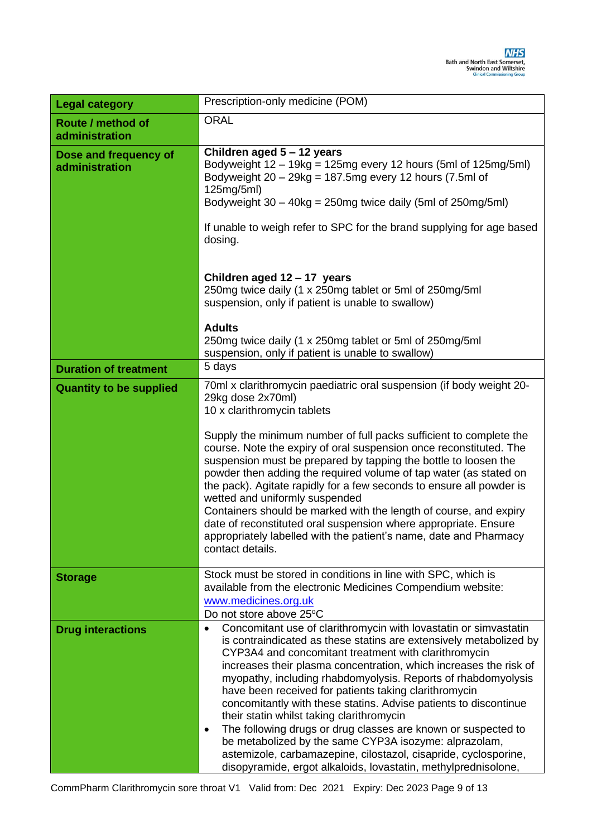| <b>Legal category</b>                   | Prescription-only medicine (POM)                                                                                                                                                                                                                                                                                                                                                                                                                                                                                                                                                                                                                                                                                                                                                                |  |  |
|-----------------------------------------|-------------------------------------------------------------------------------------------------------------------------------------------------------------------------------------------------------------------------------------------------------------------------------------------------------------------------------------------------------------------------------------------------------------------------------------------------------------------------------------------------------------------------------------------------------------------------------------------------------------------------------------------------------------------------------------------------------------------------------------------------------------------------------------------------|--|--|
| Route / method of<br>administration     | <b>ORAL</b>                                                                                                                                                                                                                                                                                                                                                                                                                                                                                                                                                                                                                                                                                                                                                                                     |  |  |
| Dose and frequency of<br>administration | Children aged 5 - 12 years<br>Bodyweight $12 - 19$ kg = 125mg every 12 hours (5ml of 125mg/5ml)<br>Bodyweight 20 - 29kg = 187.5mg every 12 hours (7.5ml of<br>125mg/5ml)<br>Bodyweight $30 - 40$ kg = 250mg twice daily (5ml of 250mg/5ml)<br>If unable to weigh refer to SPC for the brand supplying for age based<br>dosing.                                                                                                                                                                                                                                                                                                                                                                                                                                                                  |  |  |
|                                         | Children aged 12 - 17 years<br>250mg twice daily (1 x 250mg tablet or 5ml of 250mg/5ml<br>suspension, only if patient is unable to swallow)<br><b>Adults</b><br>250mg twice daily (1 x 250mg tablet or 5ml of 250mg/5ml                                                                                                                                                                                                                                                                                                                                                                                                                                                                                                                                                                         |  |  |
|                                         | suspension, only if patient is unable to swallow)                                                                                                                                                                                                                                                                                                                                                                                                                                                                                                                                                                                                                                                                                                                                               |  |  |
| <b>Duration of treatment</b>            | 5 days                                                                                                                                                                                                                                                                                                                                                                                                                                                                                                                                                                                                                                                                                                                                                                                          |  |  |
| <b>Quantity to be supplied</b>          | 70ml x clarithromycin paediatric oral suspension (if body weight 20-<br>29kg dose 2x70ml)<br>10 x clarithromycin tablets<br>Supply the minimum number of full packs sufficient to complete the<br>course. Note the expiry of oral suspension once reconstituted. The<br>suspension must be prepared by tapping the bottle to loosen the<br>powder then adding the required volume of tap water (as stated on<br>the pack). Agitate rapidly for a few seconds to ensure all powder is<br>wetted and uniformly suspended<br>Containers should be marked with the length of course, and expiry<br>date of reconstituted oral suspension where appropriate. Ensure<br>appropriately labelled with the patient's name, date and Pharmacy<br>contact details.                                         |  |  |
| <b>Storage</b>                          | Stock must be stored in conditions in line with SPC, which is<br>available from the electronic Medicines Compendium website:<br>www.medicines.org.uk<br>Do not store above 25°C                                                                                                                                                                                                                                                                                                                                                                                                                                                                                                                                                                                                                 |  |  |
| <b>Drug interactions</b>                | Concomitant use of clarithromycin with lovastatin or simvastatin<br>$\bullet$<br>is contraindicated as these statins are extensively metabolized by<br>CYP3A4 and concomitant treatment with clarithromycin<br>increases their plasma concentration, which increases the risk of<br>myopathy, including rhabdomyolysis. Reports of rhabdomyolysis<br>have been received for patients taking clarithromycin<br>concomitantly with these statins. Advise patients to discontinue<br>their statin whilst taking clarithromycin<br>The following drugs or drug classes are known or suspected to<br>٠<br>be metabolized by the same CYP3A isozyme: alprazolam,<br>astemizole, carbamazepine, cilostazol, cisapride, cyclosporine,<br>disopyramide, ergot alkaloids, lovastatin, methylprednisolone, |  |  |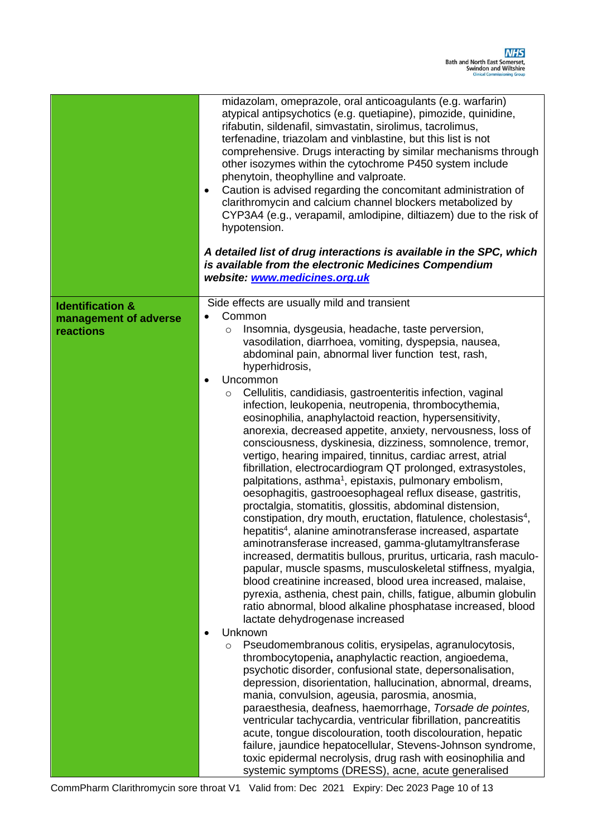|                                    | midazolam, omeprazole, oral anticoagulants (e.g. warfarin)<br>atypical antipsychotics (e.g. quetiapine), pimozide, quinidine,<br>rifabutin, sildenafil, simvastatin, sirolimus, tacrolimus,<br>terfenadine, triazolam and vinblastine, but this list is not<br>comprehensive. Drugs interacting by similar mechanisms through<br>other isozymes within the cytochrome P450 system include<br>phenytoin, theophylline and valproate.<br>Caution is advised regarding the concomitant administration of<br>$\bullet$<br>clarithromycin and calcium channel blockers metabolized by<br>CYP3A4 (e.g., verapamil, amlodipine, diltiazem) due to the risk of<br>hypotension.<br>A detailed list of drug interactions is available in the SPC, which<br>is available from the electronic Medicines Compendium<br>website: www.medicines.org.uk                                                                                                                                                                                                                                                                                                                                                                                                            |
|------------------------------------|----------------------------------------------------------------------------------------------------------------------------------------------------------------------------------------------------------------------------------------------------------------------------------------------------------------------------------------------------------------------------------------------------------------------------------------------------------------------------------------------------------------------------------------------------------------------------------------------------------------------------------------------------------------------------------------------------------------------------------------------------------------------------------------------------------------------------------------------------------------------------------------------------------------------------------------------------------------------------------------------------------------------------------------------------------------------------------------------------------------------------------------------------------------------------------------------------------------------------------------------------|
| <b>Identification &amp;</b>        | Side effects are usually mild and transient                                                                                                                                                                                                                                                                                                                                                                                                                                                                                                                                                                                                                                                                                                                                                                                                                                                                                                                                                                                                                                                                                                                                                                                                        |
| management of adverse<br>reactions | Common<br>Insomnia, dysgeusia, headache, taste perversion,<br>$\circ$<br>vasodilation, diarrhoea, vomiting, dyspepsia, nausea,<br>abdominal pain, abnormal liver function test, rash,<br>hyperhidrosis,<br>Uncommon<br>$\bullet$                                                                                                                                                                                                                                                                                                                                                                                                                                                                                                                                                                                                                                                                                                                                                                                                                                                                                                                                                                                                                   |
|                                    | Cellulitis, candidiasis, gastroenteritis infection, vaginal<br>O<br>infection, leukopenia, neutropenia, thrombocythemia,<br>eosinophilia, anaphylactoid reaction, hypersensitivity,<br>anorexia, decreased appetite, anxiety, nervousness, loss of<br>consciousness, dyskinesia, dizziness, somnolence, tremor,<br>vertigo, hearing impaired, tinnitus, cardiac arrest, atrial<br>fibrillation, electrocardiogram QT prolonged, extrasystoles,<br>palpitations, asthma <sup>1</sup> , epistaxis, pulmonary embolism,<br>oesophagitis, gastrooesophageal reflux disease, gastritis,<br>proctalgia, stomatitis, glossitis, abdominal distension,<br>constipation, dry mouth, eructation, flatulence, cholestasis <sup>4</sup> ,<br>hepatitis <sup>4</sup> , alanine aminotransferase increased, aspartate<br>aminotransferase increased, gamma-glutamyltransferase<br>increased, dermatitis bullous, pruritus, urticaria, rash maculo-<br>papular, muscle spasms, musculoskeletal stiffness, myalgia,<br>blood creatinine increased, blood urea increased, malaise,<br>pyrexia, asthenia, chest pain, chills, fatigue, albumin globulin<br>ratio abnormal, blood alkaline phosphatase increased, blood<br>lactate dehydrogenase increased<br>Unknown |
|                                    | Pseudomembranous colitis, erysipelas, agranulocytosis,<br>$\circ$<br>thrombocytopenia, anaphylactic reaction, angioedema,<br>psychotic disorder, confusional state, depersonalisation,<br>depression, disorientation, hallucination, abnormal, dreams,<br>mania, convulsion, ageusia, parosmia, anosmia,<br>paraesthesia, deafness, haemorrhage, Torsade de pointes,<br>ventricular tachycardia, ventricular fibrillation, pancreatitis<br>acute, tongue discolouration, tooth discolouration, hepatic<br>failure, jaundice hepatocellular, Stevens-Johnson syndrome,<br>toxic epidermal necrolysis, drug rash with eosinophilia and<br>systemic symptoms (DRESS), acne, acute generalised                                                                                                                                                                                                                                                                                                                                                                                                                                                                                                                                                         |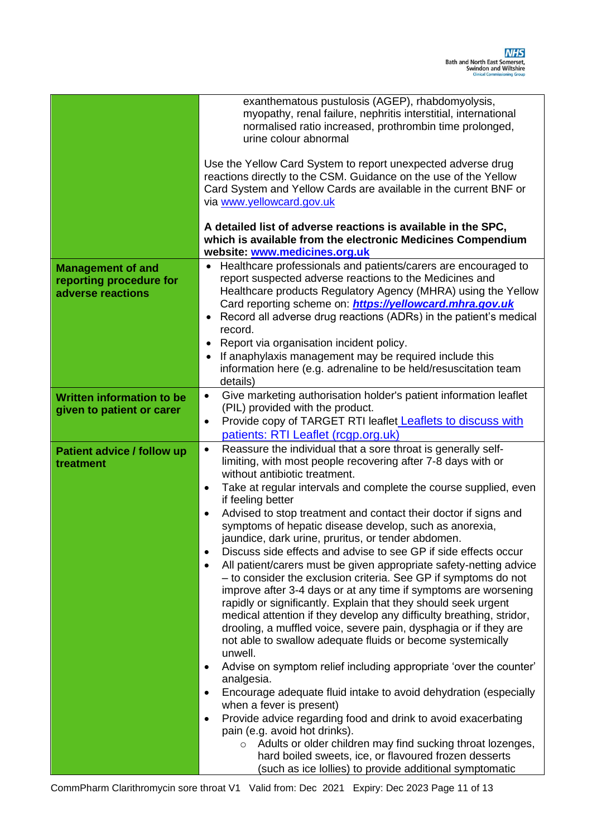|                                                                          | exanthematous pustulosis (AGEP), rhabdomyolysis,<br>myopathy, renal failure, nephritis interstitial, international<br>normalised ratio increased, prothrombin time prolonged,<br>urine colour abnormal<br>Use the Yellow Card System to report unexpected adverse drug<br>reactions directly to the CSM. Guidance on the use of the Yellow<br>Card System and Yellow Cards are available in the current BNF or<br>via www.yellowcard.gov.uk<br>A detailed list of adverse reactions is available in the SPC,<br>which is available from the electronic Medicines Compendium<br>website: www.medicines.org.uk                                                                                                                                                                                                                                                                                                                                                                                                                                                                                                                                                                                                                                                                                                                                                                                                                                                                                                                                                                                            |
|--------------------------------------------------------------------------|---------------------------------------------------------------------------------------------------------------------------------------------------------------------------------------------------------------------------------------------------------------------------------------------------------------------------------------------------------------------------------------------------------------------------------------------------------------------------------------------------------------------------------------------------------------------------------------------------------------------------------------------------------------------------------------------------------------------------------------------------------------------------------------------------------------------------------------------------------------------------------------------------------------------------------------------------------------------------------------------------------------------------------------------------------------------------------------------------------------------------------------------------------------------------------------------------------------------------------------------------------------------------------------------------------------------------------------------------------------------------------------------------------------------------------------------------------------------------------------------------------------------------------------------------------------------------------------------------------|
| <b>Management of and</b><br>reporting procedure for<br>adverse reactions | Healthcare professionals and patients/carers are encouraged to<br>report suspected adverse reactions to the Medicines and<br>Healthcare products Regulatory Agency (MHRA) using the Yellow<br>Card reporting scheme on: <i>https://yellowcard.mhra.gov.uk</i><br>Record all adverse drug reactions (ADRs) in the patient's medical<br>$\bullet$<br>record.<br>Report via organisation incident policy.<br>٠<br>If anaphylaxis management may be required include this<br>$\bullet$<br>information here (e.g. adrenaline to be held/resuscitation team<br>details)                                                                                                                                                                                                                                                                                                                                                                                                                                                                                                                                                                                                                                                                                                                                                                                                                                                                                                                                                                                                                                       |
| <b>Written information to be</b><br>given to patient or carer            | Give marketing authorisation holder's patient information leaflet<br>$\bullet$<br>(PIL) provided with the product.<br>Provide copy of TARGET RTI leaflet <b>Leaflets to discuss with</b><br>٠<br>patients: RTI Leaflet (rcgp.org.uk)                                                                                                                                                                                                                                                                                                                                                                                                                                                                                                                                                                                                                                                                                                                                                                                                                                                                                                                                                                                                                                                                                                                                                                                                                                                                                                                                                                    |
| <b>Patient advice / follow up</b><br>treatment                           | Reassure the individual that a sore throat is generally self-<br>$\bullet$<br>limiting, with most people recovering after 7-8 days with or<br>without antibiotic treatment.<br>Take at regular intervals and complete the course supplied, even<br>$\bullet$<br>if feeling better<br>Advised to stop treatment and contact their doctor if signs and<br>$\bullet$<br>symptoms of hepatic disease develop, such as anorexia,<br>jaundice, dark urine, pruritus, or tender abdomen.<br>Discuss side effects and advise to see GP if side effects occur<br>$\bullet$<br>All patient/carers must be given appropriate safety-netting advice<br>$\bullet$<br>- to consider the exclusion criteria. See GP if symptoms do not<br>improve after 3-4 days or at any time if symptoms are worsening<br>rapidly or significantly. Explain that they should seek urgent<br>medical attention if they develop any difficulty breathing, stridor,<br>drooling, a muffled voice, severe pain, dysphagia or if they are<br>not able to swallow adequate fluids or become systemically<br>unwell.<br>Advise on symptom relief including appropriate 'over the counter'<br>$\bullet$<br>analgesia.<br>Encourage adequate fluid intake to avoid dehydration (especially<br>$\bullet$<br>when a fever is present)<br>Provide advice regarding food and drink to avoid exacerbating<br>$\bullet$<br>pain (e.g. avoid hot drinks).<br>$\circ$ Adults or older children may find sucking throat lozenges,<br>hard boiled sweets, ice, or flavoured frozen desserts<br>(such as ice lollies) to provide additional symptomatic |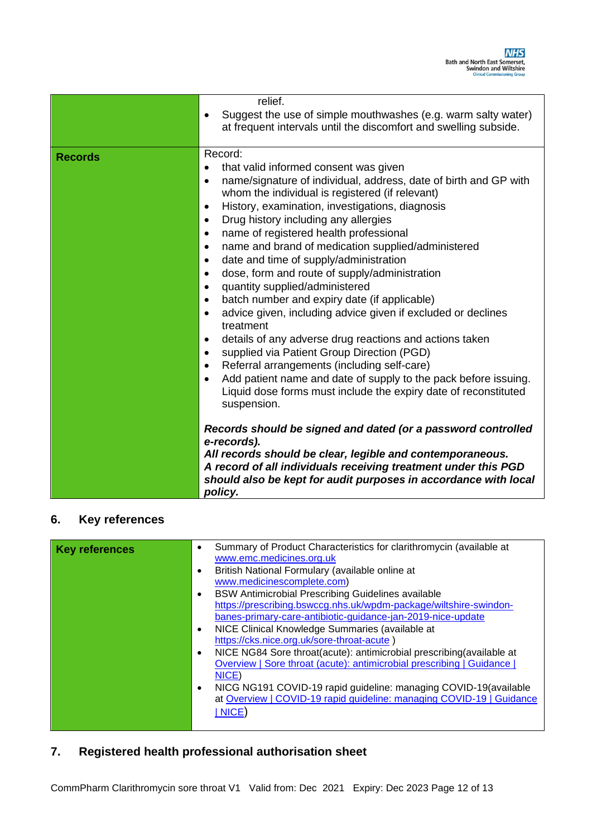|                | relief.<br>Suggest the use of simple mouthwashes (e.g. warm salty water)<br>٠<br>at frequent intervals until the discomfort and swelling subside.                                                                                                                                                                                                                                                                                                                                                                                                                                                                                                                                                                                                                                                                                                                                                                                                                                                                                                                                                                               |
|----------------|---------------------------------------------------------------------------------------------------------------------------------------------------------------------------------------------------------------------------------------------------------------------------------------------------------------------------------------------------------------------------------------------------------------------------------------------------------------------------------------------------------------------------------------------------------------------------------------------------------------------------------------------------------------------------------------------------------------------------------------------------------------------------------------------------------------------------------------------------------------------------------------------------------------------------------------------------------------------------------------------------------------------------------------------------------------------------------------------------------------------------------|
| <b>Records</b> | Record:<br>that valid informed consent was given<br>$\bullet$<br>name/signature of individual, address, date of birth and GP with<br>$\bullet$<br>whom the individual is registered (if relevant)<br>History, examination, investigations, diagnosis<br>$\bullet$<br>Drug history including any allergies<br>$\bullet$<br>name of registered health professional<br>$\bullet$<br>name and brand of medication supplied/administered<br>$\bullet$<br>date and time of supply/administration<br>$\bullet$<br>dose, form and route of supply/administration<br>$\bullet$<br>quantity supplied/administered<br>$\bullet$<br>batch number and expiry date (if applicable)<br>$\bullet$<br>advice given, including advice given if excluded or declines<br>$\bullet$<br>treatment<br>details of any adverse drug reactions and actions taken<br>$\bullet$<br>supplied via Patient Group Direction (PGD)<br>$\bullet$<br>Referral arrangements (including self-care)<br>$\bullet$<br>Add patient name and date of supply to the pack before issuing.<br>Liquid dose forms must include the expiry date of reconstituted<br>suspension. |
|                | Records should be signed and dated (or a password controlled<br>e-records).<br>All records should be clear, legible and contemporaneous.<br>A record of all individuals receiving treatment under this PGD<br>should also be kept for audit purposes in accordance with local<br>policy.                                                                                                                                                                                                                                                                                                                                                                                                                                                                                                                                                                                                                                                                                                                                                                                                                                        |

#### **6. Key references**

| <b>Key references</b> | $\bullet$ | Summary of Product Characteristics for clarithromycin (available at<br>www.emc.medicines.org.uk |
|-----------------------|-----------|-------------------------------------------------------------------------------------------------|
|                       | $\bullet$ | British National Formulary (available online at                                                 |
|                       |           | www.medicinescomplete.com)                                                                      |
|                       | $\bullet$ | <b>BSW Antimicrobial Prescribing Guidelines available</b>                                       |
|                       |           | https://prescribing.bswccg.nhs.uk/wpdm-package/wiltshire-swindon-                               |
|                       |           | banes-primary-care-antibiotic-guidance-jan-2019-nice-update                                     |
|                       | $\bullet$ | NICE Clinical Knowledge Summaries (available at                                                 |
|                       |           | https://cks.nice.org.uk/sore-throat-acute)                                                      |
|                       | $\bullet$ | NICE NG84 Sore throat(acute): antimicrobial prescribing(available at                            |
|                       |           | Overview   Sore throat (acute): antimicrobial prescribing   Guidance                            |
|                       |           | NICE)                                                                                           |
|                       | $\bullet$ | NICG NG191 COVID-19 rapid guideline: managing COVID-19 (available                               |
|                       |           | at Overview   COVID-19 rapid guideline: managing COVID-19   Guidance                            |
|                       |           | NICE)                                                                                           |
|                       |           |                                                                                                 |
|                       |           |                                                                                                 |

# **7. Registered health professional authorisation sheet**